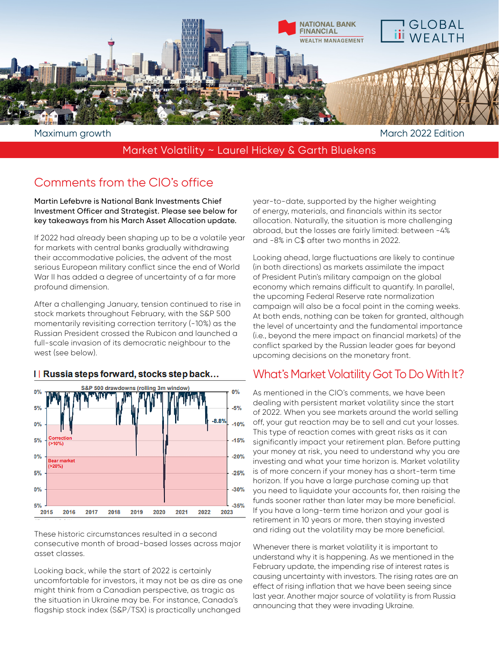

Maximum growth and the matrix of the matrix of the March 2022 Edition

### Market Volatility ~ Laurel Hickey & Garth Bluekens

# Comments from the CIO's office

Martin Lefebvre is National Bank Investments Chief Investment Officer and Strategist. Please see below for key takeaways from his March Asset Allocation update.

If 2022 had already been shaping up to be a volatile year for markets with central banks gradually withdrawing their accommodative policies, the advent of the most serious European military conflict since the end of World War II has added a degree of uncertainty of a far more profound dimension.

After a challenging January, tension continued to rise in stock markets throughout February, with the S&P 500 momentarily revisiting correction territory (-10%) as the Russian President crossed the Rubicon and launched a full-scale invasion of its democratic neighbour to the west (see below).



#### I Russia steps forward, stocks step back...

These historic circumstances resulted in a second consecutive month of broad-based losses across major asset classes.

Looking back, while the start of 2022 is certainly uncomfortable for investors, it may not be as dire as one might think from a Canadian perspective, as tragic as the situation in Ukraine may be. For instance, Canada's flagship stock index (S&P/TSX) is practically unchanged

year-to-date, supported by the higher weighting of energy, materials, and financials within its sector allocation. Naturally, the situation is more challenging abroad, but the losses are fairly limited: between -4% and -8% in C\$ after two months in 2022.

Looking ahead, large fluctuations are likely to continue (in both directions) as markets assimilate the impact of President Putin's military campaign on the global economy which remains difficult to quantify. In parallel, the upcoming Federal Reserve rate normalization campaign will also be a focal point in the coming weeks. At both ends, nothing can be taken for granted, although the level of uncertainty and the fundamental importance (i.e., beyond the mere impact on financial markets) of the conflict sparked by the Russian leader goes far beyond upcoming decisions on the monetary front.

## What's Market Volatility Got To Do With It?

As mentioned in the CIO's comments, we have been dealing with persistent market volatility since the start of 2022. When you see markets around the world selling off, your gut reaction may be to sell and cut your losses. This type of reaction comes with great risks as it can significantly impact your retirement plan. Before putting your money at risk, you need to understand why you are investing and what your time horizon is. Market volatility is of more concern if your money has a short-term time horizon. If you have a large purchase coming up that you need to liquidate your accounts for, then raising the funds sooner rather than later may be more beneficial. If you have a long-term time horizon and your goal is retirement in 10 years or more, then staying invested and riding out the volatility may be more beneficial.

Whenever there is market volatility it is important to understand why it is happening. As we mentioned in the February update, the impending rise of interest rates is causing uncertainty with investors. The rising rates are an effect of rising inflation that we have been seeing since last year. Another major source of volatility is from Russia announcing that they were invading Ukraine.